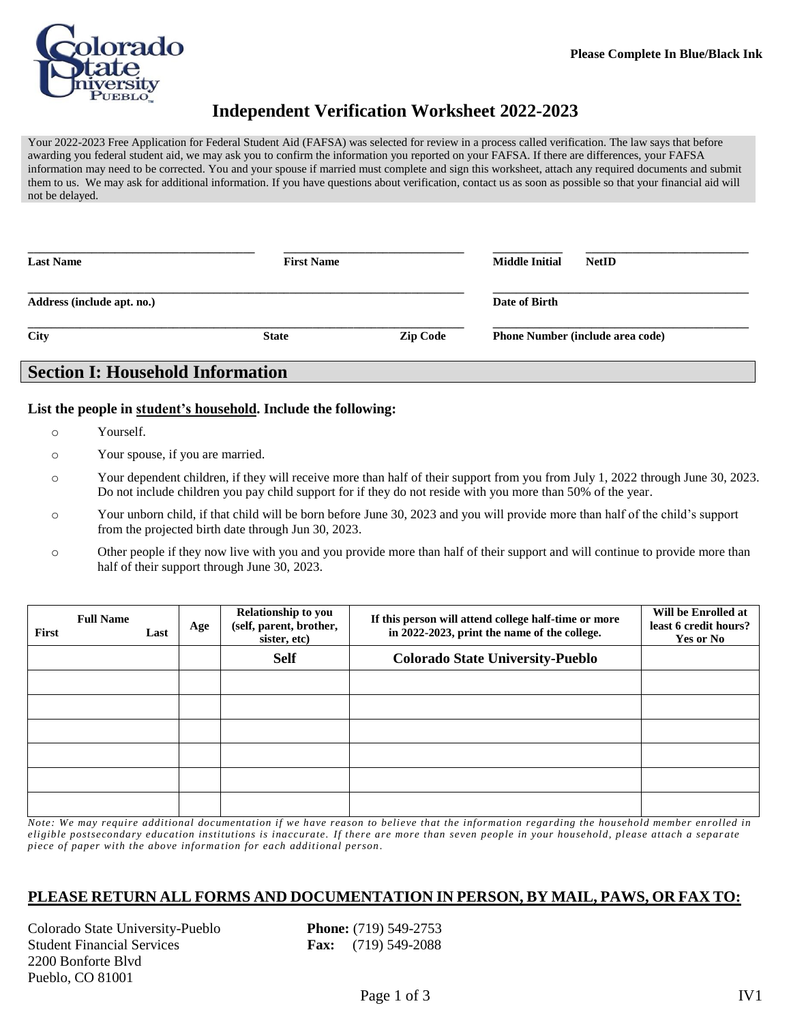

# **Independent Verification Worksheet 2022-2023**

Your 2022-2023 Free Application for Federal Student Aid (FAFSA) was selected for review in a process called verification. The law says that before awarding you federal student aid, we may ask you to confirm the information you reported on your FAFSA. If there are differences, your FAFSA information may need to be corrected. You and your spouse if married must complete and sign this worksheet, attach any required documents and submit them to us. We may ask for additional information. If you have questions about verification, contact us as soon as possible so that your financial aid will not be delayed.

| <b>Last Name</b>           | <b>First Name</b> |                 | <b>Middle Initial</b> | <b>NetID</b>                            |
|----------------------------|-------------------|-----------------|-----------------------|-----------------------------------------|
| Address (include apt. no.) |                   |                 | Date of Birth         |                                         |
| City                       | <b>State</b>      | <b>Zip Code</b> |                       | <b>Phone Number (include area code)</b> |

## **Section I: Household Information**

### **List the people in student's household. Include the following:**

- o Yourself.
- o Your spouse, if you are married.
- o Your dependent children, if they will receive more than half of their support from you from July 1, 2022 through June 30, 2023. Do not include children you pay child support for if they do not reside with you more than 50% of the year.
- o Your unborn child, if that child will be born before June 30, 2023 and you will provide more than half of the child's support from the projected birth date through Jun 30, 2023.
- o Other people if they now live with you and you provide more than half of their support and will continue to provide more than half of their support through June 30, 2023.

| <b>First</b> | <b>Full Name</b> | Last | Age | Relationship to you<br>(self, parent, brother,<br>sister, etc) | If this person will attend college half-time or more<br>in 2022-2023, print the name of the college. | Will be Enrolled at<br>least 6 credit hours?<br>Yes or No |
|--------------|------------------|------|-----|----------------------------------------------------------------|------------------------------------------------------------------------------------------------------|-----------------------------------------------------------|
|              |                  |      |     | <b>Self</b>                                                    | <b>Colorado State University-Pueblo</b>                                                              |                                                           |
|              |                  |      |     |                                                                |                                                                                                      |                                                           |
|              |                  |      |     |                                                                |                                                                                                      |                                                           |
|              |                  |      |     |                                                                |                                                                                                      |                                                           |
|              |                  |      |     |                                                                |                                                                                                      |                                                           |
|              |                  |      |     |                                                                |                                                                                                      |                                                           |
|              |                  |      |     |                                                                |                                                                                                      |                                                           |

*Note: We may require additional documentation if we have reason to believe that the information regarding the household member enrolled in eligible postsecondary education institutions is inaccurate. If there are more than seven people in your household, please attach a separ ate piece of paper with the above informa tion for each additional person .*

## **PLEASE RETURN ALL FORMS AND DOCUMENTATION IN PERSON, BY MAIL, PAWS, OR FAX TO:**

Colorado State University-Pueblo **Phone:** (719) 549-2753 Student Financial Services **Fax:** (719) 549-2088 2200 Bonforte Blvd Pueblo, CO 81001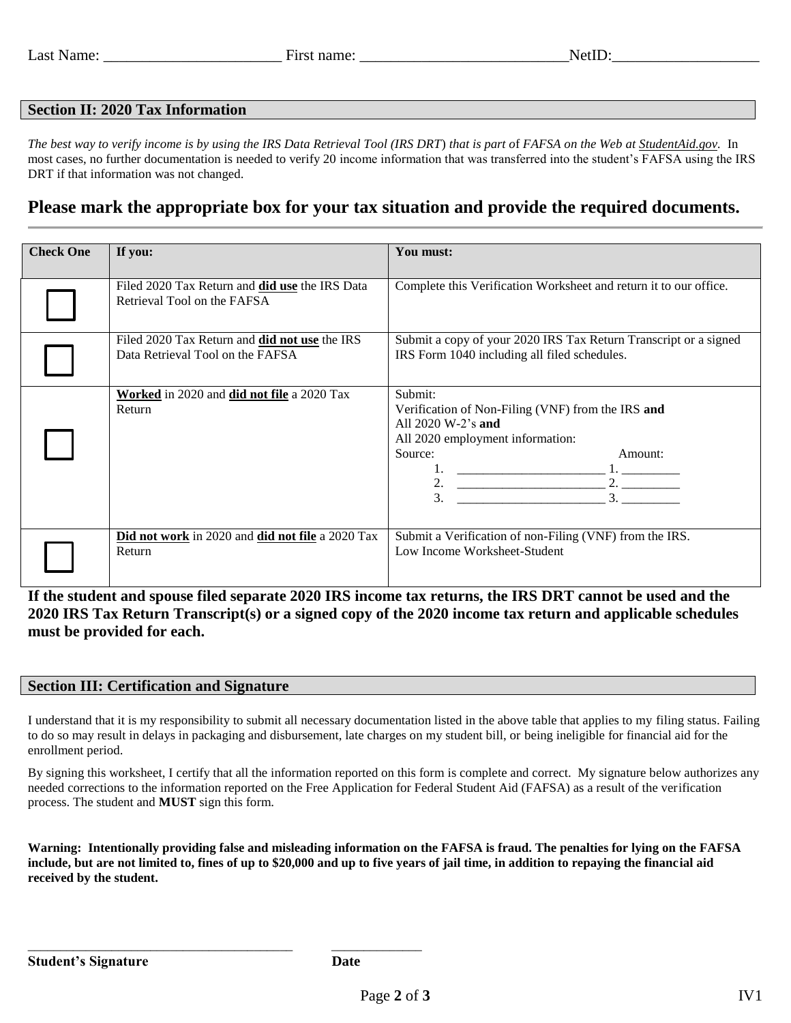## **Section II: 2020 Tax Information**

*The best way to verify income is by using the IRS Data Retrieval Tool (IRS DRT*) *that is part o*f *FAFSA on the Web at StudentAid.gov.* In most cases, no further documentation is needed to verify 20 income information that was transferred into the student's FAFSA using the IRS DRT if that information was not changed.

## **Please mark the appropriate box for your tax situation and provide the required documents.**

| <b>Check One</b> | If you:                                                                              | You must:                                                                                                                                                                           |
|------------------|--------------------------------------------------------------------------------------|-------------------------------------------------------------------------------------------------------------------------------------------------------------------------------------|
|                  |                                                                                      |                                                                                                                                                                                     |
|                  | Filed 2020 Tax Return and <b>did use</b> the IRS Data<br>Retrieval Tool on the FAFSA | Complete this Verification Worksheet and return it to our office.                                                                                                                   |
|                  | Filed 2020 Tax Return and did not use the IRS<br>Data Retrieval Tool on the FAFSA    | Submit a copy of your 2020 IRS Tax Return Transcript or a signed<br>IRS Form 1040 including all filed schedules.                                                                    |
|                  | Worked in 2020 and did not file a 2020 Tax<br>Return                                 | Submit:<br>Verification of Non-Filing (VNF) from the IRS and<br>All $2020 \text{ W-}2$ 's and<br>All 2020 employment information:<br>Source:<br>Amount:<br>2. $\qquad \qquad$<br>3. |
|                  | Did not work in 2020 and did not file a 2020 Tax<br>Return                           | Submit a Verification of non-Filing (VNF) from the IRS.<br>Low Income Worksheet-Student                                                                                             |

**If the student and spouse filed separate 2020 IRS income tax returns, the IRS DRT cannot be used and the 2020 IRS Tax Return Transcript(s) or a signed copy of the 2020 income tax return and applicable schedules must be provided for each.**

#### **Section III: Certification and Signature**

\_\_\_\_\_\_\_\_\_\_\_\_\_\_\_\_\_\_\_\_\_\_\_\_\_\_\_\_\_\_\_\_\_\_\_\_\_\_\_\_\_ \_\_\_\_\_\_\_\_\_\_\_\_\_\_

I understand that it is my responsibility to submit all necessary documentation listed in the above table that applies to my filing status. Failing to do so may result in delays in packaging and disbursement, late charges on my student bill, or being ineligible for financial aid for the enrollment period.

By signing this worksheet, I certify that all the information reported on this form is complete and correct. My signature below authorizes any needed corrections to the information reported on the Free Application for Federal Student Aid (FAFSA) as a result of the verification process. The student and **MUST** sign this form.

**Warning: Intentionally providing false and misleading information on the FAFSA is fraud. The penalties for lying on the FAFSA include, but are not limited to, fines of up to \$20,000 and up to five years of jail time, in addition to repaying the financial aid received by the student.**